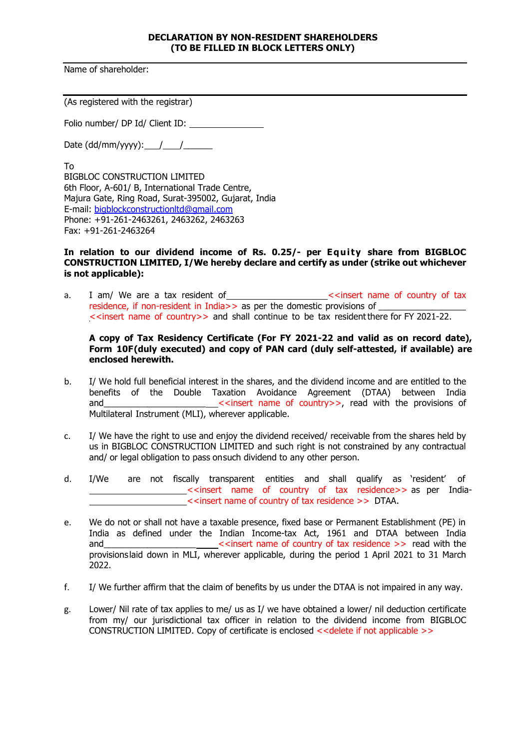## **DECLARATION BY NON-RESIDENT SHAREHOLDERS (TO BE FILLED IN BLOCK LETTERS ONLY)**

Name of shareholder:

(As registered with the registrar)

Folio number/ DP Id/ Client ID:

Date  $(dd/mm/yyyy)$ : / / /

To

BIGBLOC CONSTRUCTION LIMITED 6th Floor, A-601/ B, International Trade Centre, Majura Gate, Ring Road, Surat-395002, Gujarat, India E-mail: [bigblockconstructionltd@gmail.com](mailto:bigblockconstructionltd@gmail.com) Phone: +91-261-2463261, 2463262, 2463263 Fax: +91-261-2463264

## **In relation to our dividend income of Rs. 0.25/- per Equity share from BIGBLOC CONSTRUCTION LIMITED, I/We hereby declare and certify as under (strike out whichever is not applicable):**

a. I am/ We are a tax resident of \_\_\_\_\_\_\_\_\_\_\_\_\_\_\_\_\_\_\_\_\_<<insert name of country of tax residence, if non-resident in India>> as per the domestic provisions of <<insert name of country>> and shall continue to be tax residentthere for FY 2021-22.

## **A copy of Tax Residency Certificate (For FY 2021-22 and valid as on record date), Form 10F(duly executed) and copy of PAN card (duly self-attested, if available) are enclosed herewith.**

- b. I/ We hold full beneficial interest in the shares, and the dividend income and are entitled to the benefits of the Double Taxation Avoidance Agreement (DTAA) between India<br>sand seringert name of country >> read with the provisions of and the provisions of country >>, read with the provisions of Multilateral Instrument (MLI), wherever applicable.
- c. I/ We have the right to use and enjoy the dividend received/ receivable from the shares held by us in BIGBLOC CONSTRUCTION LIMITED and such right is not constrained by any contractual and/ or legal obligation to pass onsuch dividend to any other person.
- d. I/We are not fiscally transparent entities and shall qualify as 'resident' of <<insert name of country of tax residence>> as per India- <<insert name of country of tax residence >> DTAA.
- e. We do not or shall not have a taxable presence, fixed base or Permanent Establishment (PE) in India as defined under the Indian Income-tax Act, 1961 and DTAA between India<br>
<<insert name of country of tax residence >> read with the \_\_\_\_\_\_\_<<insert name of country of tax residence >> read with the provisionslaid down in MLI, wherever applicable, during the period 1 April 2021 to 31 March 2022.
- f. I/ We further affirm that the claim of benefits by us under the DTAA is not impaired in any way.
- g. Lower/ Nil rate of tax applies to me/ us as I/ we have obtained a lower/ nil deduction certificate from my/ our jurisdictional tax officer in relation to the dividend income from BIGBLOC CONSTRUCTION LIMITED. Copy of certificate is enclosed <<delete if not applicable >>